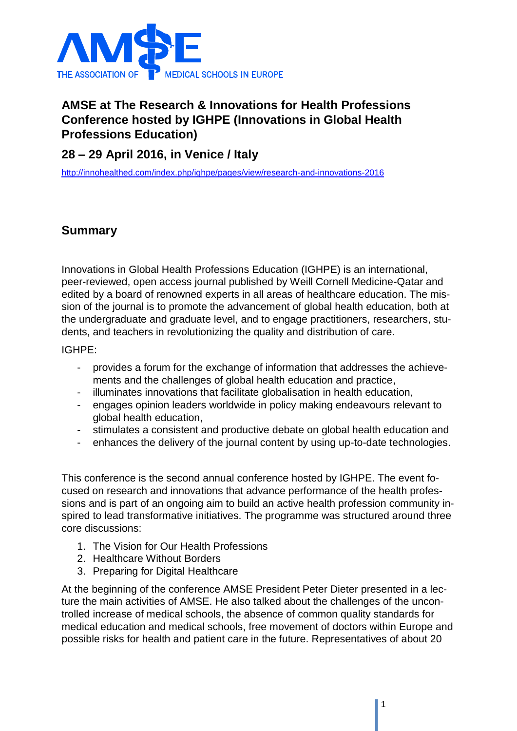

## **AMSE at The Research & Innovations for Health Professions Conference hosted by IGHPE (Innovations in Global Health Professions Education)**

## **28 – 29 April 2016, in Venice / Italy**

<http://innohealthed.com/index.php/ighpe/pages/view/research-and-innovations-2016>

## **Summary**

Innovations in Global Health Professions Education (IGHPE) is an international, peer-reviewed, open access journal published by Weill Cornell Medicine-Qatar and edited by a board of renowned experts in all areas of healthcare education. The mission of the journal is to promote the advancement of global health education, both at the undergraduate and graduate level, and to engage practitioners, researchers, students, and teachers in revolutionizing the quality and distribution of care.

IGHPE:

- provides a forum for the exchange of information that addresses the achievements and the challenges of global health education and practice,
- illuminates innovations that facilitate globalisation in health education,
- engages opinion leaders worldwide in policy making endeavours relevant to global health education,
- stimulates a consistent and productive debate on global health education and
- enhances the delivery of the journal content by using up-to-date technologies.

This conference is the second annual conference hosted by IGHPE. The event focused on research and innovations that advance performance of the health professions and is part of an ongoing aim to build an active health profession community inspired to lead transformative initiatives. The programme was structured around three core discussions:

- 1. The Vision for Our Health Professions
- 2. Healthcare Without Borders
- 3. Preparing for Digital Healthcare

At the beginning of the conference AMSE President Peter Dieter presented in a lecture the main activities of AMSE. He also talked about the challenges of the uncontrolled increase of medical schools, the absence of common quality standards for medical education and medical schools, free movement of doctors within Europe and possible risks for health and patient care in the future. Representatives of about 20